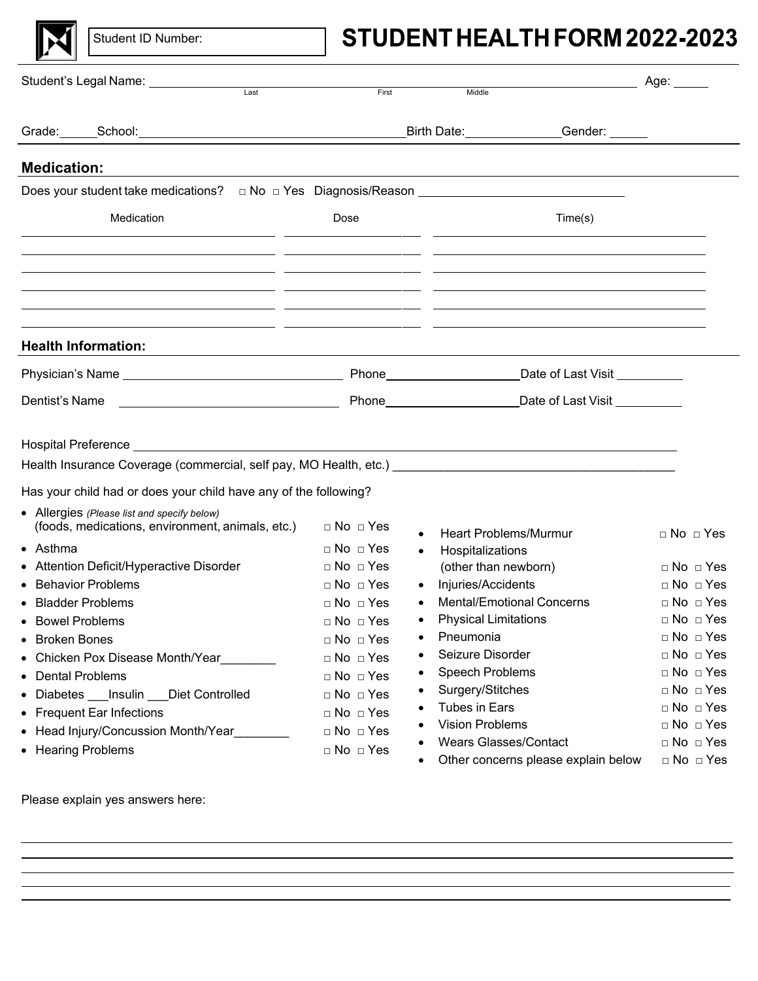

Student ID Number:

# STUDENT HEALTH FORM 2022-2023

| Student's Legal Name: ____________<br>Last<br>First |                                                                                                                                                                                                                                |                                              | Middle                                                                                                                                                                                                  | Age: _____                                   |
|-----------------------------------------------------|--------------------------------------------------------------------------------------------------------------------------------------------------------------------------------------------------------------------------------|----------------------------------------------|---------------------------------------------------------------------------------------------------------------------------------------------------------------------------------------------------------|----------------------------------------------|
|                                                     |                                                                                                                                                                                                                                |                                              |                                                                                                                                                                                                         |                                              |
|                                                     | Grade: School: School: School: School: School: School: School: School: School: School: School: School: School: School: School: School: School: School: School: School: School: School: School: School: School: School: School: |                                              | Birth Date: 1988<br>Gender: ______                                                                                                                                                                      |                                              |
| <b>Medication:</b>                                  |                                                                                                                                                                                                                                |                                              |                                                                                                                                                                                                         |                                              |
|                                                     | Does your student take medications? □ No □ Yes Diagnosis/Reason ___________________________________                                                                                                                            |                                              |                                                                                                                                                                                                         |                                              |
|                                                     | Medication<br><u> 1989 - John Stone, amerikansk politiker (d. 19</u>                                                                                                                                                           | Dose                                         | Time(s)                                                                                                                                                                                                 |                                              |
|                                                     | <u> 1999 - Andrea Andrew Maria (h. 1989).</u><br>1906 - Andrew Maria (h. 1906).<br><u> 1990 - Andrea Andrew Maria (h. 1980).</u><br>1901 - Andrew Maria (h. 1902).                                                             |                                              | <u> 1989 - Andrea Santa Alemania, poeta esperanto-se en la contrada de la contrada de la contrada de la contrada</u><br><u> 1990 - Andrea Andrew Maria (h. 1980).</u><br>2001 - Andrew Maria (h. 1902). |                                              |
|                                                     | ,我们也不会有什么。""我们的人,我们也不会有什么?""我们的人,我们也不会有什么?""我们的人,我们也不会有什么?""我们的人,我们也不会有什么?""我们的人<br><b>Health Information:</b>                                                                                                                 |                                              |                                                                                                                                                                                                         |                                              |
|                                                     |                                                                                                                                                                                                                                |                                              | Date of Last Visit _________                                                                                                                                                                            |                                              |
| Dentist's Name                                      | <u> 1989 - Johann Barn, fransk politik (d. 1989)</u>                                                                                                                                                                           |                                              | Phone Date of Last Visit                                                                                                                                                                                |                                              |
|                                                     |                                                                                                                                                                                                                                |                                              |                                                                                                                                                                                                         |                                              |
|                                                     | Health Insurance Coverage (commercial, self pay, MO Health, etc.) __________________________________                                                                                                                           |                                              |                                                                                                                                                                                                         |                                              |
|                                                     | Has your child had or does your child have any of the following?                                                                                                                                                               |                                              |                                                                                                                                                                                                         |                                              |
|                                                     | • Allergies (Please list and specify below)<br>(foods, medications, environment, animals, etc.)                                                                                                                                | $\Box$ No $\Box$ Yes                         | <b>Heart Problems/Murmur</b>                                                                                                                                                                            | $\Box$ No $\Box$ Yes                         |
| $\bullet$ Asthma                                    |                                                                                                                                                                                                                                | $\Box$ No $\Box$ Yes<br>$\bullet$            | Hospitalizations                                                                                                                                                                                        |                                              |
|                                                     | • Attention Deficit/Hyperactive Disorder<br>• Behavior Problems                                                                                                                                                                | $\Box$ No $\Box$ Yes                         | (other than newborn)                                                                                                                                                                                    | $\Box$ No $\Box$ Yes                         |
|                                                     | • Bladder Problems                                                                                                                                                                                                             | $\Box$ No $\Box$ Yes<br>$\Box$ No $\Box$ Yes | Injuries/Accidents<br><b>Mental/Emotional Concerns</b>                                                                                                                                                  | $\Box$ No $\Box$ Yes<br>$\Box$ No $\Box$ Yes |
| • Bowel Problems                                    |                                                                                                                                                                                                                                | $\Box$ No $\Box$ Yes<br>$\bullet$            | <b>Physical Limitations</b>                                                                                                                                                                             | $\Box$ No $\Box$ Yes                         |
| • Broken Bones                                      |                                                                                                                                                                                                                                | $\Box$ No $\Box$ Yes                         | Pneumonia                                                                                                                                                                                               | □ No □ Yes                                   |
|                                                     | • Chicken Pox Disease Month/Year                                                                                                                                                                                               | $\Box$ No $\Box$ Yes                         | Seizure Disorder                                                                                                                                                                                        | $\Box$ No $\Box$ Yes                         |
| • Dental Problems                                   |                                                                                                                                                                                                                                | $\Box$ No $\Box$ Yes                         | Speech Problems                                                                                                                                                                                         | $\Box$ No $\Box$ Yes                         |
|                                                     | • Diabetes Insulin Diet Controlled                                                                                                                                                                                             | $\Box$ No $\Box$ Yes                         | Surgery/Stitches                                                                                                                                                                                        | $\Box$ No $\Box$ Yes                         |
|                                                     | • Frequent Ear Infections                                                                                                                                                                                                      | $\Box$ No $\Box$ Yes                         | <b>Tubes in Ears</b>                                                                                                                                                                                    | □ No □ Yes                                   |
|                                                     | • Head Injury/Concussion Month/Year                                                                                                                                                                                            | $\Box$ No $\Box$ Yes                         | <b>Vision Problems</b>                                                                                                                                                                                  | □ No □ Yes                                   |
|                                                     | • Hearing Problems                                                                                                                                                                                                             | $\Box$ No $\Box$ Yes                         | <b>Wears Glasses/Contact</b>                                                                                                                                                                            | $\Box$ No $\Box$ Yes                         |
|                                                     |                                                                                                                                                                                                                                |                                              | Other concerns please explain below                                                                                                                                                                     | $\Box$ No $\Box$ Yes                         |

Please explain yes answers here: